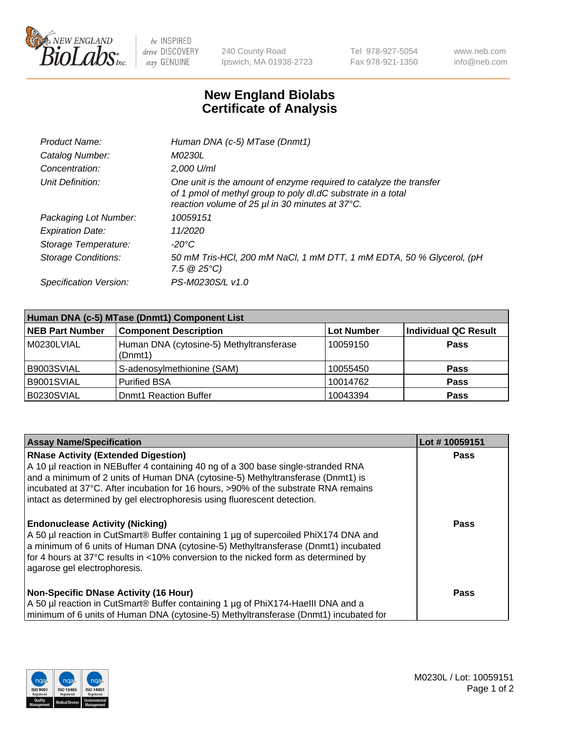

 $be$  INSPIRED drive DISCOVERY stay GENUINE

240 County Road Ipswich, MA 01938-2723 Tel 978-927-5054 Fax 978-921-1350 www.neb.com info@neb.com

## **New England Biolabs Certificate of Analysis**

| Product Name:              | Human DNA (c-5) MTase (Dnmt1)                                                                                                                                                         |
|----------------------------|---------------------------------------------------------------------------------------------------------------------------------------------------------------------------------------|
| Catalog Number:            | <i>M0230L</i>                                                                                                                                                                         |
| Concentration:             | $2.000$ U/ml                                                                                                                                                                          |
| Unit Definition:           | One unit is the amount of enzyme required to catalyze the transfer<br>of 1 pmol of methyl group to poly dl.dC substrate in a total<br>reaction volume of 25 µl in 30 minutes at 37°C. |
| Packaging Lot Number:      | 10059151                                                                                                                                                                              |
| <b>Expiration Date:</b>    | 11/2020                                                                                                                                                                               |
| Storage Temperature:       | $-20^{\circ}$ C                                                                                                                                                                       |
| <b>Storage Conditions:</b> | 50 mM Tris-HCl, 200 mM NaCl, 1 mM DTT, 1 mM EDTA, 50 % Glycerol, (pH<br>7.5 $@25°C$ )                                                                                                 |
| Specification Version:     | PS-M0230S/L v1.0                                                                                                                                                                      |

| Human DNA (c-5) MTase (Dnmt1) Component List |                                                     |                   |                      |  |
|----------------------------------------------|-----------------------------------------------------|-------------------|----------------------|--|
| <b>NEB Part Number</b>                       | <b>Component Description</b>                        | <b>Lot Number</b> | Individual QC Result |  |
| M0230LVIAL                                   | Human DNA (cytosine-5) Methyltransferase<br>(Dnmt1) | 10059150          | <b>Pass</b>          |  |
| B9003SVIAL                                   | S-adenosylmethionine (SAM)                          | 10055450          | <b>Pass</b>          |  |
| B9001SVIAL                                   | <b>Purified BSA</b>                                 | 10014762          | <b>Pass</b>          |  |
| B0230SVIAL                                   | <b>Dnmt1 Reaction Buffer</b>                        | 10043394          | <b>Pass</b>          |  |

| <b>Assay Name/Specification</b>                                                                                                                                                                                                                                                                                                                                                       | Lot #10059151 |
|---------------------------------------------------------------------------------------------------------------------------------------------------------------------------------------------------------------------------------------------------------------------------------------------------------------------------------------------------------------------------------------|---------------|
| <b>RNase Activity (Extended Digestion)</b><br>A 10 µl reaction in NEBuffer 4 containing 40 ng of a 300 base single-stranded RNA<br>and a minimum of 2 units of Human DNA (cytosine-5) Methyltransferase (Dnmt1) is<br>incubated at 37°C. After incubation for 16 hours, >90% of the substrate RNA remains<br>intact as determined by gel electrophoresis using fluorescent detection. | Pass          |
| <b>Endonuclease Activity (Nicking)</b><br>A 50 µl reaction in CutSmart® Buffer containing 1 µg of supercoiled PhiX174 DNA and<br>a minimum of 6 units of Human DNA (cytosine-5) Methyltransferase (Dnmt1) incubated<br>for 4 hours at 37°C results in <10% conversion to the nicked form as determined by<br>agarose gel electrophoresis.                                             | Pass          |
| <b>Non-Specific DNase Activity (16 Hour)</b><br>A 50 µl reaction in CutSmart® Buffer containing 1 µg of PhiX174-HaellI DNA and a<br>minimum of 6 units of Human DNA (cytosine-5) Methyltransferase (Dnmt1) incubated for                                                                                                                                                              | <b>Pass</b>   |